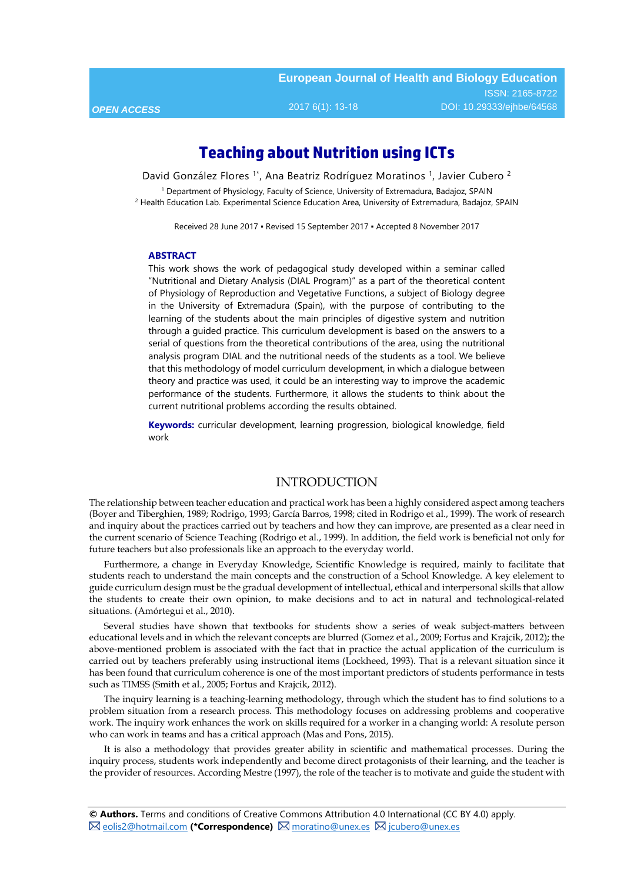# **Teaching about Nutrition using ICTs**

David González Flores <sup>1\*</sup>, Ana Beatriz Rodríguez Moratinos <sup>1</sup>, Javier Cubero <sup>2</sup>

<sup>1</sup> Department of Physiology, Faculty of Science, University of Extremadura, Badajoz, SPAIN <sup>2</sup> Health Education Lab. Experimental Science Education Area, University of Extremadura, Badajoz, SPAIN

Received 28 June 2017 ▪ Revised 15 September 2017 ▪ Accepted 8 November 2017

#### **ABSTRACT**

This work shows the work of pedagogical study developed within a seminar called "Nutritional and Dietary Analysis (DIAL Program)" as a part of the theoretical content of Physiology of Reproduction and Vegetative Functions, a subject of Biology degree in the University of Extremadura (Spain), with the purpose of contributing to the learning of the students about the main principles of digestive system and nutrition through a guided practice. This curriculum development is based on the answers to a serial of questions from the theoretical contributions of the area, using the nutritional analysis program DIAL and the nutritional needs of the students as a tool. We believe that this methodology of model curriculum development, in which a dialogue between theory and practice was used, it could be an interesting way to improve the academic performance of the students. Furthermore, it allows the students to think about the current nutritional problems according the results obtained.

**Keywords:** curricular development, learning progression, biological knowledge, field work

### INTRODUCTION

The relationship between teacher education and practical work has been a highly considered aspect among teachers (Boyer and Tiberghien, 1989; Rodrigo, 1993; García Barros, 1998; cited in Rodrigo et al., 1999). The work of research and inquiry about the practices carried out by teachers and how they can improve, are presented as a clear need in the current scenario of Science Teaching (Rodrigo et al., 1999). In addition, the field work is beneficial not only for future teachers but also professionals like an approach to the everyday world.

Furthermore, a change in Everyday Knowledge, Scientific Knowledge is required, mainly to facilitate that students reach to understand the main concepts and the construction of a School Knowledge. A key elelement to guide curriculum design must be the gradual development of intellectual, ethical and interpersonal skills that allow the students to create their own opinion, to make decisions and to act in natural and technological-related situations. (Amórtegui et al., 2010).

Several studies have shown that textbooks for students show a series of weak subject-matters between educational levels and in which the relevant concepts are blurred (Gomez et al., 2009; Fortus and Krajcik, 2012); the above-mentioned problem is associated with the fact that in practice the actual application of the curriculum is carried out by teachers preferably using instructional items (Lockheed, 1993). That is a relevant situation since it has been found that curriculum coherence is one of the most important predictors of students performance in tests such as TIMSS (Smith et al., 2005; Fortus and Krajcik, 2012).

The inquiry learning is a teaching-learning methodology, through which the student has to find solutions to a problem situation from a research process. This methodology focuses on addressing problems and cooperative work. The inquiry work enhances the work on skills required for a worker in a changing world: A resolute person who can work in teams and has a critical approach (Mas and Pons, 2015).

It is also a methodology that provides greater ability in scientific and mathematical processes. During the inquiry process, students work independently and become direct protagonists of their learning, and the teacher is the provider of resources. According Mestre (1997), the role of the teacher is to motivate and guide the student with

**© Authors.** Terms and conditions of Creative Commons Attribution 4.0 International (CC BY 4.0) apply. **E** [eolis2@hotmail.com](mailto:eolis2@hotmail.com) (\*Correspondence) **E** [moratino@unex.es](mailto:moratino@unex.es) **E** [jcubero@unex.es](mailto:jcubero@unex.es)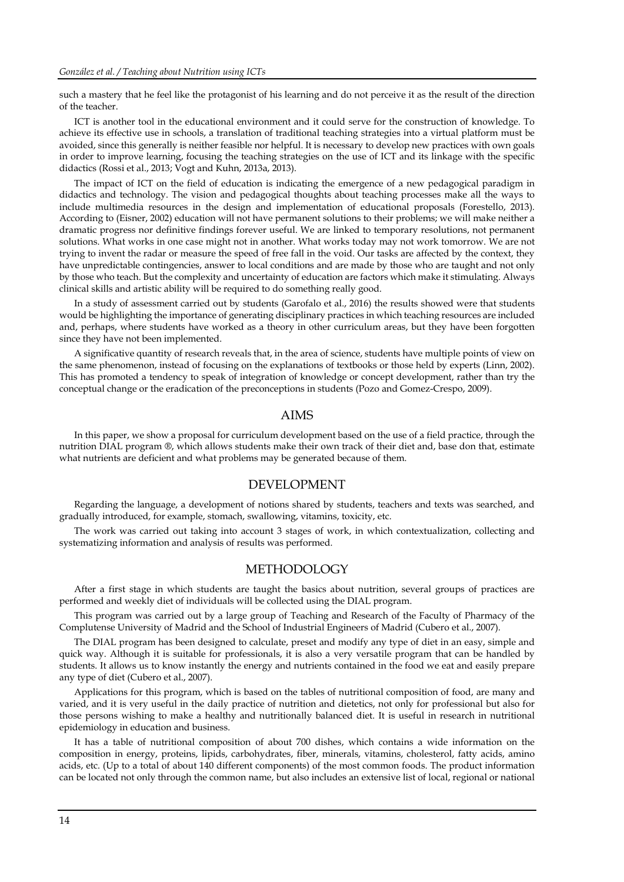such a mastery that he feel like the protagonist of his learning and do not perceive it as the result of the direction of the teacher.

ICT is another tool in the educational environment and it could serve for the construction of knowledge. To achieve its effective use in schools, a translation of traditional teaching strategies into a virtual platform must be avoided, since this generally is neither feasible nor helpful. It is necessary to develop new practices with own goals in order to improve learning, focusing the teaching strategies on the use of ICT and its linkage with the specific didactics (Rossi et al., 2013; Vogt and Kuhn, 2013a, 2013).

The impact of ICT on the field of education is indicating the emergence of a new pedagogical paradigm in didactics and technology. The vision and pedagogical thoughts about teaching processes make all the ways to include multimedia resources in the design and implementation of educational proposals (Forestello, 2013). According to (Eisner, 2002) education will not have permanent solutions to their problems; we will make neither a dramatic progress nor definitive findings forever useful. We are linked to temporary resolutions, not permanent solutions. What works in one case might not in another. What works today may not work tomorrow. We are not trying to invent the radar or measure the speed of free fall in the void. Our tasks are affected by the context, they have unpredictable contingencies, answer to local conditions and are made by those who are taught and not only by those who teach. But the complexity and uncertainty of education are factors which make it stimulating. Always clinical skills and artistic ability will be required to do something really good.

In a study of assessment carried out by students (Garofalo et al., 2016) the results showed were that students would be highlighting the importance of generating disciplinary practices in which teaching resources are included and, perhaps, where students have worked as a theory in other curriculum areas, but they have been forgotten since they have not been implemented.

A significative quantity of research reveals that, in the area of science, students have multiple points of view on the same phenomenon, instead of focusing on the explanations of textbooks or those held by experts (Linn, 2002). This has promoted a tendency to speak of integration of knowledge or concept development, rather than try the conceptual change or the eradication of the preconceptions in students (Pozo and Gomez-Crespo, 2009).

#### AIMS

In this paper, we show a proposal for curriculum development based on the use of a field practice, through the nutrition DIAL program ®, which allows students make their own track of their diet and, base don that, estimate what nutrients are deficient and what problems may be generated because of them.

#### DEVELOPMENT

Regarding the language, a development of notions shared by students, teachers and texts was searched, and gradually introduced, for example, stomach, swallowing, vitamins, toxicity, etc.

The work was carried out taking into account 3 stages of work, in which contextualization, collecting and systematizing information and analysis of results was performed.

#### METHODOLOGY

After a first stage in which students are taught the basics about nutrition, several groups of practices are performed and weekly diet of individuals will be collected using the DIAL program.

This program was carried out by a large group of Teaching and Research of the Faculty of Pharmacy of the Complutense University of Madrid and the School of Industrial Engineers of Madrid (Cubero et al., 2007).

The DIAL program has been designed to calculate, preset and modify any type of diet in an easy, simple and quick way. Although it is suitable for professionals, it is also a very versatile program that can be handled by students. It allows us to know instantly the energy and nutrients contained in the food we eat and easily prepare any type of diet (Cubero et al., 2007).

Applications for this program, which is based on the tables of nutritional composition of food, are many and varied, and it is very useful in the daily practice of nutrition and dietetics, not only for professional but also for those persons wishing to make a healthy and nutritionally balanced diet. It is useful in research in nutritional epidemiology in education and business.

It has a table of nutritional composition of about 700 dishes, which contains a wide information on the composition in energy, proteins, lipids, carbohydrates, fiber, minerals, vitamins, cholesterol, fatty acids, amino acids, etc. (Up to a total of about 140 different components) of the most common foods. The product information can be located not only through the common name, but also includes an extensive list of local, regional or national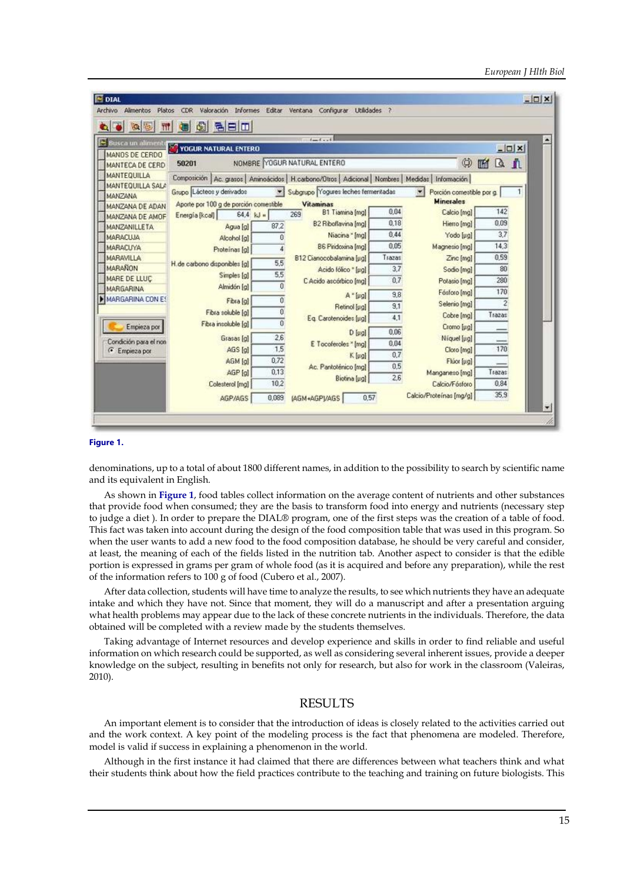| $\bullet$ 0 0 0                                   | <b>model</b>                                        |           |                                                                                                     |        |                                    |         |                                |
|---------------------------------------------------|-----------------------------------------------------|-----------|-----------------------------------------------------------------------------------------------------|--------|------------------------------------|---------|--------------------------------|
| Busca un alimento                                 | YOGUR NATURAL ENTERO                                |           | $1 - 1 - 1$                                                                                         |        |                                    |         |                                |
| MANOS DE CERDO                                    |                                                     |           |                                                                                                     |        |                                    |         | $-$ <b>D</b> $\vert$ x $\vert$ |
| MANTECA DE CERD                                   | 50201                                               |           | NOMBRE YOGUR NATURAL ENTERO                                                                         |        | ٤                                  | ΔA<br>圗 |                                |
| <b>MANTEQUILLA</b>                                |                                                     |           | Composición Ac. grasos Aminoácidos   H. carbono/Otros   Adicional   Nombres   Medidas   Información |        |                                    |         |                                |
| <b>MANTEQUILLA SALA</b>                           | Grupo Lácteos y derivados                           | $\bullet$ | Subgrupo Yogures leches fermentadas                                                                 |        | $\sim$<br>Porción comestible por g |         |                                |
| MANZANA                                           | Aporte por 100 g de porción comestible<br>Vitaminas |           |                                                                                                     |        | <b>Minerales</b>                   |         |                                |
| MANZANA DE ADAN                                   | $64.4$ kJ =<br>Energía [kcal]                       |           | <b>B1 Tiamina [mg]</b><br>269                                                                       | 0.04   | Calcio [mg]                        | 142     |                                |
| MANZANA DE AMOF<br><b>MANZANILLETA</b>            | Agua [g]                                            | 87.2      | B2 Riboflavina [mg]                                                                                 | 0.18   | Hierro [mg]                        | 0.09    |                                |
| <b>MARACLUA</b>                                   | Alcohol [g]                                         | n         | Niacina * [mg]                                                                                      | 0.44   | Yodo [µg]                          | 3,7     |                                |
| <b>MARACUYA</b>                                   | Proteinas [g]                                       |           | B6 Pindoxina [mg]                                                                                   | 0.05   | Magnesio [mg]                      | 14,3    |                                |
| <b>MARAVILLA</b>                                  |                                                     |           | B12 Cianocobalamina [ug]                                                                            | Trazas | Zinc [mg]                          | 0,59    |                                |
| <b>MARANON</b>                                    | H.de carbono disponibles [g]                        | 5.5       | Acido fólico * [µg]                                                                                 | 3.7    | Sodio [mg]                         | 80      |                                |
| MARE DE LLUC                                      | Simples [g]                                         | 5.5       | C Acido ascórbico [mg]                                                                              | 0.7    | Potasio [mg]                       | 280     |                                |
| <b>MARGARINA</b>                                  | Almidón [g]                                         | o         |                                                                                                     | 9.8    | Fésforo [mg]                       | 170     |                                |
| MARGARINA CON ES                                  | Fibra [g]                                           | ũ         | A "[ug]<br>Retinol [µg]                                                                             | 9.1    | Selenio [mg]                       | 2       |                                |
|                                                   | Fibra soluble [g]                                   | 0         |                                                                                                     | 4.1    | Cobre [mg]                         | Trazas  |                                |
| Empieza por                                       | Fibra insoluble [g]                                 | Ū         | Eq. Carotenoides [µg]                                                                               |        | Cromo [ug]                         |         |                                |
|                                                   | Grasas [g]                                          | 26        | D [sig]                                                                                             | 0.06   | Niquel [µg]                        |         |                                |
| Condición para el non<br><sup>6</sup> Empleza por | AGS [a]                                             | 1.5       | E Tocoferoles * [mg]                                                                                | 0.04   | Cloro [mg]                         | 170     |                                |
|                                                   | AGM [g]                                             | 0.72      | K [ug]                                                                                              | 0.7    | Flúor [µg]                         |         |                                |
|                                                   | AGP [a]                                             | 0.13      | Ac. Pantoténico [mg]                                                                                | 0.5    | Manganeso [mg]                     | Trazas  |                                |
|                                                   | Colesterol [mg]                                     | 10.2      | Biotina [µg]                                                                                        | 2.6    | Calcio/Fósforo                     | 0,84    |                                |
|                                                   | AGP/AGS                                             | 0.089     | 0.57<br>(AGM+AGP)/AGS                                                                               |        | Calcio/Proteínas [mg/g]            | 35,9    |                                |

#### **Figure 1.**

denominations, up to a total of about 1800 different names, in addition to the possibility to search by scientific name and its equivalent in English.

As shown in **Figure 1**, food tables collect information on the average content of nutrients and other substances that provide food when consumed; they are the basis to transform food into energy and nutrients (necessary step to judge a diet ). In order to prepare the DIAL® program, one of the first steps was the creation of a table of food. This fact was taken into account during the design of the food composition table that was used in this program. So when the user wants to add a new food to the food composition database, he should be very careful and consider, at least, the meaning of each of the fields listed in the nutrition tab. Another aspect to consider is that the edible portion is expressed in grams per gram of whole food (as it is acquired and before any preparation), while the rest of the information refers to 100 g of food (Cubero et al., 2007).

After data collection, students will have time to analyze the results, to see which nutrients they have an adequate intake and which they have not. Since that moment, they will do a manuscript and after a presentation arguing what health problems may appear due to the lack of these concrete nutrients in the individuals. Therefore, the data obtained will be completed with a review made by the students themselves.

Taking advantage of Internet resources and develop experience and skills in order to find reliable and useful information on which research could be supported, as well as considering several inherent issues, provide a deeper knowledge on the subject, resulting in benefits not only for research, but also for work in the classroom (Valeiras, 2010).

## RESULTS

An important element is to consider that the introduction of ideas is closely related to the activities carried out and the work context. A key point of the modeling process is the fact that phenomena are modeled. Therefore, model is valid if success in explaining a phenomenon in the world.

Although in the first instance it had claimed that there are differences between what teachers think and what their students think about how the field practices contribute to the teaching and training on future biologists. This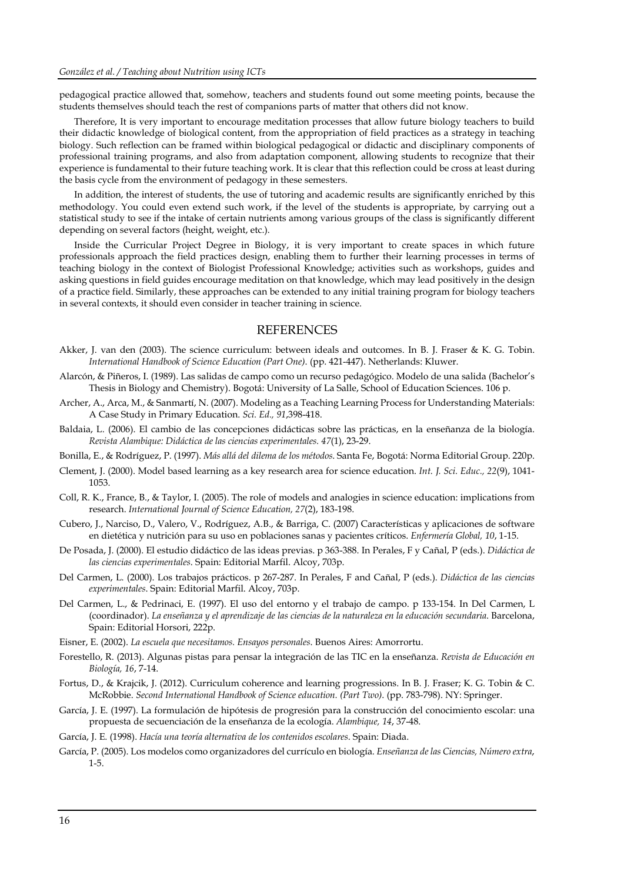pedagogical practice allowed that, somehow, teachers and students found out some meeting points, because the students themselves should teach the rest of companions parts of matter that others did not know.

Therefore, It is very important to encourage meditation processes that allow future biology teachers to build their didactic knowledge of biological content, from the appropriation of field practices as a strategy in teaching biology. Such reflection can be framed within biological pedagogical or didactic and disciplinary components of professional training programs, and also from adaptation component, allowing students to recognize that their experience is fundamental to their future teaching work. It is clear that this reflection could be cross at least during the basis cycle from the environment of pedagogy in these semesters.

In addition, the interest of students, the use of tutoring and academic results are significantly enriched by this methodology. You could even extend such work, if the level of the students is appropriate, by carrying out a statistical study to see if the intake of certain nutrients among various groups of the class is significantly different depending on several factors (height, weight, etc.).

Inside the Curricular Project Degree in Biology, it is very important to create spaces in which future professionals approach the field practices design, enabling them to further their learning processes in terms of teaching biology in the context of Biologist Professional Knowledge; activities such as workshops, guides and asking questions in field guides encourage meditation on that knowledge, which may lead positively in the design of a practice field. Similarly, these approaches can be extended to any initial training program for biology teachers in several contexts, it should even consider in teacher training in science.

### **REFERENCES**

- Akker, J. van den (2003). The science curriculum: between ideals and outcomes. In B. J. Fraser & K. G. Tobin. *International Handbook of Science Education (Part One)*. (pp. 421-447). Netherlands: Kluwer.
- Alarcón, & Piñeros, I. (1989). Las salidas de campo como un recurso pedagógico. Modelo de una salida (Bachelor's Thesis in Biology and Chemistry). Bogotá: University of La Salle, School of Education Sciences. 106 p.
- Archer, A., Arca, M., & Sanmartí, N. (2007). Modeling as a Teaching Learning Process for Understanding Materials: A Case Study in Primary Education. *Sci. Ed., 91*,398-418.
- Baldaia, L. (2006). El cambio de las concepciones didácticas sobre las prácticas, en la enseñanza de la biología. *Revista Alambique: Didáctica de las ciencias experimentales. 47*(1), 23-29.
- Bonilla, E., & Rodríguez, P. (1997). *Más allá del dilema de los métodos*. Santa Fe, Bogotá: Norma Editorial Group. 220p.
- Clement, J. (2000). Model based learning as a key research area for science education. *Int. J. Sci. Educ., 22*(9), 1041- 1053.
- Coll, R. K., France, B., & Taylor, I. (2005). The role of models and analogies in science education: implications from research. *International Journal of Science Education, 27*(2), 183-198.
- Cubero, J., Narciso, D., Valero, V., Rodríguez, A.B., & Barriga, C. (2007) Características y aplicaciones de software en dietética y nutrición para su uso en poblaciones sanas y pacientes críticos. *Enfermería Global, 10*, 1-15.
- De Posada, J. (2000). El estudio didáctico de las ideas previas. p 363-388. In Perales, F y Cañal, P (eds.). *Didáctica de las ciencias experimentales*. Spain: Editorial Marfil. Alcoy, 703p.
- Del Carmen, L. (2000). Los trabajos prácticos. p 267-287. In Perales, F and Cañal, P (eds.). *Didáctica de las ciencias experimentales*. Spain: Editorial Marfil. Alcoy, 703p.
- Del Carmen, L., & Pedrinaci, E. (1997). El uso del entorno y el trabajo de campo. p 133-154. In Del Carmen, L (coordinador). *La enseñanza y el aprendizaje de las ciencias de la naturaleza en la educación secundaria*. Barcelona, Spain: Editorial Horsori, 222p.
- Eisner, E. (2002). *La escuela que necesitamos. Ensayos personales*. Buenos Aires: Amorrortu.
- Forestello, R. (2013). Algunas pistas para pensar la integración de las TIC en la enseñanza. *Revista de Educación en Biología, 16*, 7-14.
- Fortus, D., & Krajcik, J. (2012). Curriculum coherence and learning progressions. In B. J. Fraser; K. G. Tobin & C. McRobbie. *Second International Handbook of Science education. (Part Two)*. (pp. 783-798). NY: Springer.
- García, J. E. (1997). La formulación de hipótesis de progresión para la construcción del conocimiento escolar: una propuesta de secuenciación de la enseñanza de la ecología. *Alambique, 14*, 37-48.
- García, J. E. (1998). *Hacía una teoría alternativa de los contenidos escolares*. Spain: Diada.
- García, P. (2005). Los modelos como organizadores del currículo en biología. *Enseñanza de las Ciencias, Número extra*, 1-5.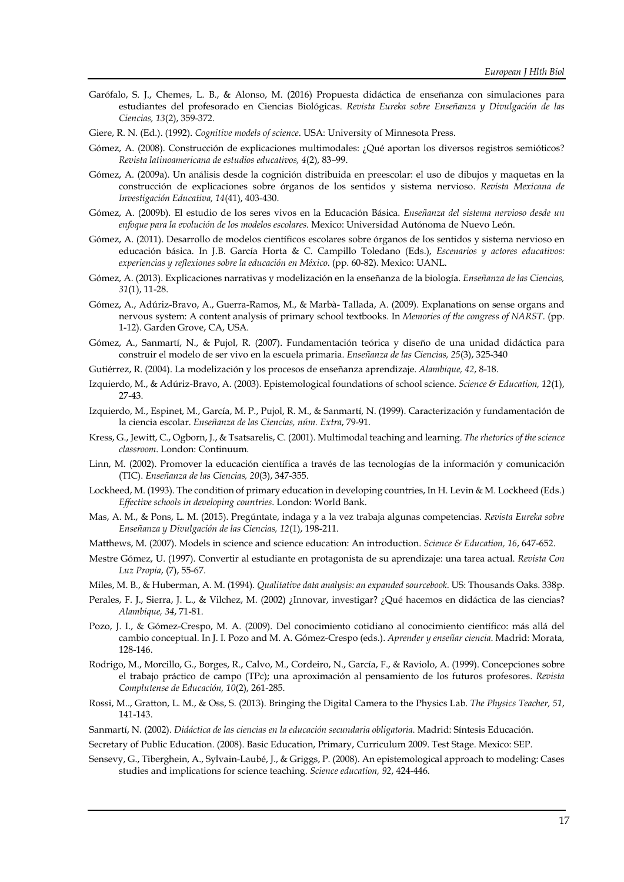- Garófalo, S. J., Chemes, L. B., & Alonso, M. (2016) Propuesta didáctica de enseñanza con simulaciones para estudiantes del profesorado en Ciencias Biológicas. *Revista Eureka sobre Enseñanza y Divulgación de las Ciencias, 13*(2), 359-372.
- Giere, R. N. (Ed.). (1992). *Cognitive models of science*. USA: University of Minnesota Press.
- Gómez, A. (2008). Construcción de explicaciones multimodales: ¿Qué aportan los diversos registros semióticos? *Revista latinoamericana de estudios educativos, 4*(2), 83–99.
- Gómez, A. (2009a). Un análisis desde la cognición distribuida en preescolar: el uso de dibujos y maquetas en la construcción de explicaciones sobre órganos de los sentidos y sistema nervioso. *Revista Mexicana de Investigación Educativa, 14*(41), 403-430.
- Gómez, A. (2009b). El estudio de los seres vivos en la Educación Básica. *Enseñanza del sistema nervioso desde un enfoque para la evolución de los modelos escolares*. Mexico: Universidad Autónoma de Nuevo León.
- Gómez, A. (2011). Desarrollo de modelos científicos escolares sobre órganos de los sentidos y sistema nervioso en educación básica. In J.B. García Horta & C. Campillo Toledano (Eds.), *Escenarios y actores educativos: experiencias y reflexiones sobre la educación en México*. (pp. 60-82). Mexico: UANL.
- Gómez, A. (2013). Explicaciones narrativas y modelización en la enseñanza de la biología. *Enseñanza de las Ciencias, 31*(1), 11-28.
- Gómez, A., Adúriz-Bravo, A., Guerra-Ramos, M., & Marbà- Tallada, A. (2009). Explanations on sense organs and nervous system: A content analysis of primary school textbooks. In *Memories of the congress of NARST*. (pp. 1-12). Garden Grove, CA, USA.
- Gómez, A., Sanmartí, N., & Pujol, R. (2007). Fundamentación teórica y diseño de una unidad didáctica para construir el modelo de ser vivo en la escuela primaria. *Enseñanza de las Ciencias, 25*(3), 325-340
- Gutiérrez, R. (2004). La modelización y los procesos de enseñanza aprendizaje. *Alambique, 42*, 8-18.
- Izquierdo, M., & Adúriz-Bravo, A. (2003). Epistemological foundations of school science. *Science & Education, 12*(1), 27-43.
- Izquierdo, M., Espinet, M., García, M. P., Pujol, R. M., & Sanmartí, N. (1999). Caracterización y fundamentación de la ciencia escolar. *Enseñanza de las Ciencias, núm. Extra*, 79-91.
- Kress, G., Jewitt, C., Ogborn, J., & Tsatsarelis, C. (2001). Multimodal teaching and learning. *The rhetorics of the science classroom*. London: Continuum.
- Linn, M. (2002). Promover la educación científica a través de las tecnologías de la información y comunicación (TIC). *Enseñanza de las Ciencias, 20*(3), 347-355.
- Lockheed, M. (1993). The condition of primary education in developing countries, In H. Levin & M. Lockheed (Eds.) *Effective schools in developing countries*. London: World Bank.
- Mas, A. M., & Pons, L. M. (2015). Pregúntate, indaga y a la vez trabaja algunas competencias. *Revista Eureka sobre Enseñanza y Divulgación de las Ciencias, 12*(1), 198-211.
- Matthews, M. (2007). Models in science and science education: An introduction. *Science & Education, 16*, 647-652.
- Mestre Gómez, U. (1997). Convertir al estudiante en protagonista de su aprendizaje: una tarea actual. *Revista Con Luz Propia*, (7), 55-67.
- Miles, M. B., & Huberman, A. M. (1994). *Qualitative data analysis: an expanded sourcebook*. US: Thousands Oaks. 338p.
- Perales, F. J., Sierra, J. L., & Vilchez, M. (2002) ¿Innovar, investigar? ¿Qué hacemos en didáctica de las ciencias? *Alambique, 34*, 71-81.
- Pozo, J. I., & Gómez-Crespo, M. A. (2009). Del conocimiento cotidiano al conocimiento científico: más allá del cambio conceptual. In J. I. Pozo and M. A. Gómez-Crespo (eds.). *Aprender y enseñar ciencia*. Madrid: Morata, 128-146.
- Rodrigo, M., Morcillo, G., Borges, R., Calvo, M., Cordeiro, N., García, F., & Raviolo, A. (1999). Concepciones sobre el trabajo práctico de campo (TPc); una aproximación al pensamiento de los futuros profesores. *Revista Complutense de Educación, 10*(2), 261-285.
- Rossi, M.., Gratton, L. M., & Oss, S. (2013). Bringing the Digital Camera to the Physics Lab. *The Physics Teacher, 51*, 141-143.
- Sanmartí, N. (2002). *Didáctica de las ciencias en la educación secundaria obligatoria*. Madrid: Síntesis Educación.
- Secretary of Public Education. (2008). Basic Education, Primary, Curriculum 2009. Test Stage. Mexico: SEP.
- Sensevy, G., Tiberghein, A., Sylvain-Laubé, J., & Griggs, P. (2008). An epistemological approach to modeling: Cases studies and implications for science teaching. *Science education, 92*, 424-446.